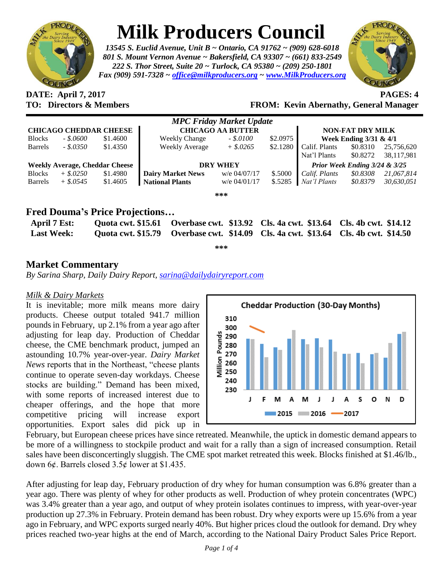

# **Milk Producers Council**

*13545 S. Euclid Avenue, Unit B ~ Ontario, CA 91762 ~ (909) 628-6018 801 S. Mount Vernon Avenue ~ Bakersfield, CA 93307 ~ (661) 833-2549 222 S. Thor Street, Suite 20 ~ Turlock, CA 95380 ~ (209) 250-1801 Fax (909) 591-7328 ~ [office@milkproducers.org](mailto:office@milkproducers.org) ~ [www.MilkProducers.org](http://www.milkproducers.org/)*



**DATE: April 7, 2017 PAGES: 4**

## **TO: Directors & Members FROM: Kevin Abernathy, General Manager**

| <b>MPC Friday Market Update</b>       |             |          |                          |                |          |                                 |          |            |  |
|---------------------------------------|-------------|----------|--------------------------|----------------|----------|---------------------------------|----------|------------|--|
| <b>CHICAGO CHEDDAR CHEESE</b>         |             |          | <b>CHICAGO AA BUTTER</b> |                |          | <b>NON-FAT DRY MILK</b>         |          |            |  |
| <b>Blocks</b>                         | $-.50600$   | \$1.4600 | <b>Weekly Change</b>     | $-.$ \$.0100   | \$2.0975 | Week Ending 3/31 & 4/1          |          |            |  |
| <b>Barrels</b>                        | $-.8.0350$  | \$1.4350 | Weekly Average           | $+$ \$.0265    | \$2.1280 | Calif. Plants                   | \$0.8310 | 25,756,620 |  |
|                                       |             |          |                          |                |          | Nat'l Plants                    | \$0.8272 | 38,117,981 |  |
| <b>Weekly Average, Cheddar Cheese</b> |             |          | <b>DRY WHEY</b>          |                |          | Prior Week Ending $3/24 & 3/25$ |          |            |  |
| <b>Blocks</b>                         | $+$ \$.0250 | \$1.4980 | <b>Dairy Market News</b> | w/e 04/07/17   | \$.5000  | Calif. Plants                   | \$0.8308 | 21,067,814 |  |
| <b>Barrels</b>                        | $+$ \$.0545 | \$1.4605 | <b>National Plants</b>   | $w/e$ 04/01/17 | \$.5285  | Nat'l Plants                    | \$0.8379 | 30,630,051 |  |
|                                       |             |          |                          | ***            |          |                                 |          |            |  |

# **Fred Douma's Price Projections…**

| April 7 Est:      |  | Quota cwt. \$15.61 Overbase cwt. \$13.92 Cls. 4a cwt. \$13.64 Cls. 4b cwt. \$14.12 |  |
|-------------------|--|------------------------------------------------------------------------------------|--|
| <b>Last Week:</b> |  | Quota cwt. \$15.79 Overbase cwt. \$14.09 Cls. 4a cwt. \$13.64 Cls. 4b cwt. \$14.50 |  |

**\*\*\***

# **Market Commentary**

*By Sarina Sharp, Daily Dairy Report, [sarina@dailydairyreport.com](mailto:sarina@dailydairyreport.com)*

#### *Milk & Dairy Markets*

It is inevitable; more milk means more dairy products. Cheese output totaled 941.7 million pounds in February, up 2.1% from a year ago after adjusting for leap day. Production of Cheddar cheese, the CME benchmark product, jumped an astounding 10.7% year-over-year. *Dairy Market News* reports that in the Northeast, "cheese plants continue to operate seven-day workdays. Cheese stocks are building." Demand has been mixed, with some reports of increased interest due to cheaper offerings, and the hope that more competitive pricing will increase export opportunities. Export sales did pick up in



February, but European cheese prices have since retreated. Meanwhile, the uptick in domestic demand appears to be more of a willingness to stockpile product and wait for a rally than a sign of increased consumption. Retail sales have been disconcertingly sluggish. The CME spot market retreated this week. Blocks finished at \$1.46/lb., down 6¢. Barrels closed  $3.5¢$  lower at \$1.435.

After adjusting for leap day, February production of dry whey for human consumption was 6.8% greater than a year ago. There was plenty of whey for other products as well. Production of whey protein concentrates (WPC) was 3.4% greater than a year ago, and output of whey protein isolates continues to impress, with year-over-year production up 27.3% in February. Protein demand has been robust. Dry whey exports were up 15.6% from a year ago in February, and WPC exports surged nearly 40%. But higher prices cloud the outlook for demand. Dry whey prices reached two-year highs at the end of March, according to the National Dairy Product Sales Price Report.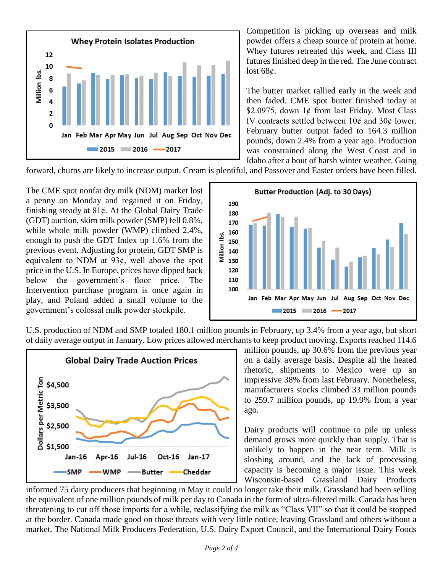

Competition is picking up overseas and milk powder offers a cheap source of protein at home. Whey futures retreated this week, and Class III futures finished deep in the red. The June contract lost  $68¢$ .

The butter market rallied early in the week and then faded. CME spot butter finished today at \$2.0975, down 1¢ from last Friday. Most Class IV contracts settled between  $10¢$  and  $30¢$  lower. February butter output faded to 164.3 million pounds, down 2.4% from a year ago. Production was constrained along the West Coast and in Idaho after a bout of harsh winter weather. Going

forward, churns are likely to increase output. Cream is plentiful, and Passover and Easter orders have been filled.

The CME spot nonfat dry milk (NDM) market lost a penny on Monday and regained it on Friday, finishing steady at  $81¢$ . At the Global Dairy Trade (GDT) auction, skim milk powder (SMP) fell 0.8%, while whole milk powder (WMP) climbed 2.4%, enough to push the GDT Index up 1.6% from the previous event. Adjusting for protein, GDT SMP is equivalent to NDM at  $93¢$ , well above the spot price in the U.S. In Europe, prices have dipped back below the government's floor price. The Intervention purchase program is once again in play, and Poland added a small volume to the government's colossal milk powder stockpile.

![](_page_1_Figure_5.jpeg)

U.S. production of NDM and SMP totaled 180.1 million pounds in February, up 3.4% from a year ago, but short of daily average output in January. Low prices allowed merchants to keep product moving. Exports reached 114.6

![](_page_1_Figure_7.jpeg)

million pounds, up 30.6% from the previous year on a daily average basis. Despite all the heated rhetoric, shipments to Mexico were up an impressive 38% from last February. Nonetheless, manufacturers stocks climbed 33 million pounds to 259.7 million pounds, up 19.9% from a year ago.

Dairy products will continue to pile up unless demand grows more quickly than supply. That is unlikely to happen in the near term. Milk is sloshing around, and the lack of processing capacity is becoming a major issue. This week Wisconsin-based Grassland Dairy Products

informed 75 dairy producers that beginning in May it could no longer take their milk. Grassland had been selling the equivalent of one million pounds of milk per day to Canada in the form of ultra-filtered milk. Canada has been threatening to cut off those imports for a while, reclassifying the milk as "Class VII" so that it could be stopped at the border. Canada made good on those threats with very little notice, leaving Grassland and others without a market. The National Milk Producers Federation, U.S. Dairy Export Council, and the International Dairy Foods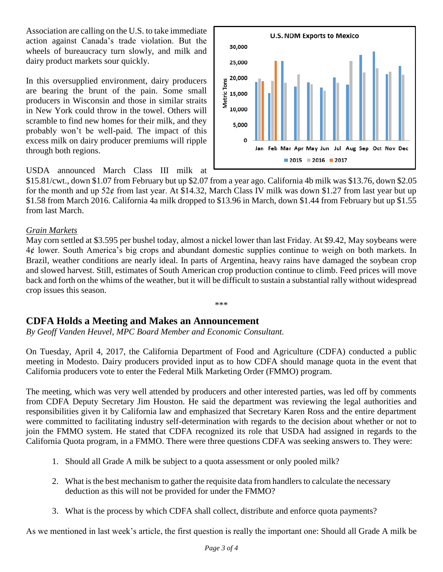Association are calling on the U.S. to take immediate action against Canada's trade violation. But the wheels of bureaucracy turn slowly, and milk and dairy product markets sour quickly.

In this oversupplied environment, dairy producers are bearing the brunt of the pain. Some small producers in Wisconsin and those in similar straits in New York could throw in the towel. Others will scramble to find new homes for their milk, and they probably won't be well-paid. The impact of this excess milk on dairy producer premiums will ripple through both regions.

![](_page_2_Figure_2.jpeg)

USDA announced March Class III milk at

\$15.81/cwt., down \$1.07 from February but up \$2.07 from a year ago. California 4b milk was \$13.76, down \$2.05 for the month and up  $52¢$  from last year. At \$14.32, March Class IV milk was down \$1.27 from last year but up \$1.58 from March 2016. California 4a milk dropped to \$13.96 in March, down \$1.44 from February but up \$1.55 from last March.

#### *Grain Markets*

May corn settled at \$3.595 per bushel today, almost a nickel lower than last Friday. At \$9.42, May soybeans were  $4¢$  lower. South America's big crops and abundant domestic supplies continue to weigh on both markets. In Brazil, weather conditions are nearly ideal. In parts of Argentina, heavy rains have damaged the soybean crop and slowed harvest. Still, estimates of South American crop production continue to climb. Feed prices will move back and forth on the whims of the weather, but it will be difficult to sustain a substantial rally without widespread crop issues this season.

\*\*\*

## **CDFA Holds a Meeting and Makes an Announcement**

*By Geoff Vanden Heuvel, MPC Board Member and Economic Consultant.*

On Tuesday, April 4, 2017, the California Department of Food and Agriculture (CDFA) conducted a public meeting in Modesto. Dairy producers provided input as to how CDFA should manage quota in the event that California producers vote to enter the Federal Milk Marketing Order (FMMO) program.

The meeting, which was very well attended by producers and other interested parties, was led off by comments from CDFA Deputy Secretary Jim Houston. He said the department was reviewing the legal authorities and responsibilities given it by California law and emphasized that Secretary Karen Ross and the entire department were committed to facilitating industry self-determination with regards to the decision about whether or not to join the FMMO system. He stated that CDFA recognized its role that USDA had assigned in regards to the California Quota program, in a FMMO. There were three questions CDFA was seeking answers to. They were:

- 1. Should all Grade A milk be subject to a quota assessment or only pooled milk?
- 2. What is the best mechanism to gather the requisite data from handlers to calculate the necessary deduction as this will not be provided for under the FMMO?
- 3. What is the process by which CDFA shall collect, distribute and enforce quota payments?

As we mentioned in last week's article, the first question is really the important one: Should all Grade A milk be